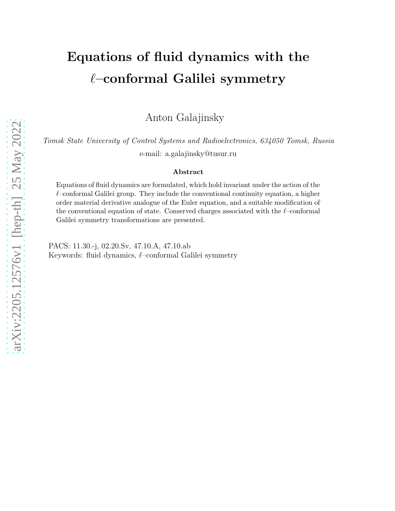# Equations of fluid dynamics with the  $\ell$ –conformal Galilei symmetry

Anton Galajinsky

Tomsk State University of Control Systems and Radioelectronics, 634050 Tomsk, Russia

e-mail: a.galajinsky@tusur.ru

#### Abstract

Equations of fluid dynamics are formulated, which hold invariant under the action of the  $\ell$ –conformal Galilei group. They include the conventional continuity equation, a higher order material derivative analogue of the Euler equation, and a suitable modification of the conventional equation of state. Conserved charges associated with the  $\ell$ –conformal Galilei symmetry transformations are presented.

PACS: 11.30.-j, 02.20.Sv, 47.10.A, 47.10.ab Keywords: fluid dynamics, ℓ–conformal Galilei symmetry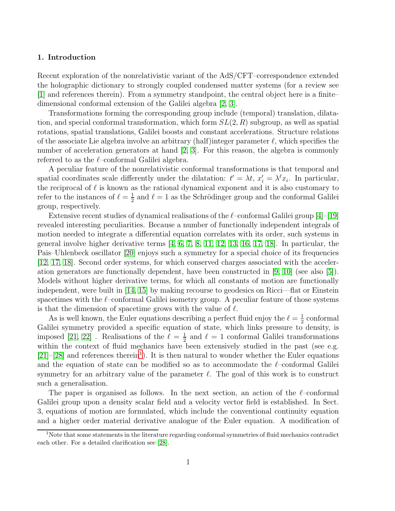# 1. Introduction

Recent exploration of the nonrelativistic variant of the AdS/CFT–correspondence extended the holographic dictionary to strongly coupled condensed matter systems (for a review see [\[1\]](#page-12-0) and references therein). From a symmetry standpoint, the central object here is a finite– dimensional conformal extension of the Galilei algebra [\[2,](#page-12-1) [3\]](#page-12-2).

Transformations forming the corresponding group include (temporal) translation, dilatation, and special conformal transformation, which form  $SL(2, R)$  subgroup, as well as spatial rotations, spatial translations, Galilei boosts and constant accelerations. Structure relations of the associate Lie algebra involve an arbitrary (half)integer parameter  $\ell$ , which specifies the number of acceleration generators at hand [\[2,](#page-12-1) [3\]](#page-12-2). For this reason, the algebra is commonly referred to as the  $\ell$ -conformal Galilei algebra.

A peculiar feature of the nonrelativistic conformal transformations is that temporal and spatial coordinates scale differently under the dilatation:  $t' = \lambda t$ ,  $x'_i = \lambda^{\ell} x_i$ . In particular, the reciprocal of  $\ell$  is known as the rational dynamical exponent and it is also customary to refer to the instances of  $\ell = \frac{1}{2}$  $\frac{1}{2}$  and  $\ell = 1$  as the Schrödinger group and the conformal Galilei group, respectively.

Extensive recent studies of dynamical realisations of the  $\ell$ –conformal Galilei group [\[4\]](#page-12-3)–[\[19\]](#page-13-0) revealed interesting peculiarities. Because a number of functionally independent integrals of motion needed to integrate a differential equation correlates with its order, such systems in general involve higher derivative terms  $\begin{bmatrix} 4, 6, 7, 8, 11, 12, 13, 16, 17, 18 \end{bmatrix}$  $\begin{bmatrix} 4, 6, 7, 8, 11, 12, 13, 16, 17, 18 \end{bmatrix}$  $\begin{bmatrix} 4, 6, 7, 8, 11, 12, 13, 16, 17, 18 \end{bmatrix}$  $\begin{bmatrix} 4, 6, 7, 8, 11, 12, 13, 16, 17, 18 \end{bmatrix}$  $\begin{bmatrix} 4, 6, 7, 8, 11, 12, 13, 16, 17, 18 \end{bmatrix}$  $\begin{bmatrix} 4, 6, 7, 8, 11, 12, 13, 16, 17, 18 \end{bmatrix}$  $\begin{bmatrix} 4, 6, 7, 8, 11, 12, 13, 16, 17, 18 \end{bmatrix}$  $\begin{bmatrix} 4, 6, 7, 8, 11, 12, 13, 16, 17, 18 \end{bmatrix}$  $\begin{bmatrix} 4, 6, 7, 8, 11, 12, 13, 16, 17, 18 \end{bmatrix}$  $\begin{bmatrix} 4, 6, 7, 8, 11, 12, 13, 16, 17, 18 \end{bmatrix}$  $\begin{bmatrix} 4, 6, 7, 8, 11, 12, 13, 16, 17, 18 \end{bmatrix}$ . In particular, the Pais–Uhlenbeck oscillator [\[20\]](#page-13-4) enjoys such a symmetry for a special choice of its frequencies [\[12,](#page-12-8) [17,](#page-13-2) [18\]](#page-13-3). Second order systems, for which conserved charges associated with the acceleration generators are functionally dependent, have been constructed in [\[9,](#page-12-10) [10\]](#page-12-11) (see also [\[5\]](#page-12-12)). Models without higher derivative terms, for which all constants of motion are functionally independent, were built in [\[14,](#page-12-13) [15\]](#page-12-14) by making recourse to geodesics on Ricci—flat or Einstein spacetimes with the  $\ell$ –conformal Galilei isometry group. A peculiar feature of those systems is that the dimension of spacetime grows with the value of  $\ell$ .

As is well known, the Euler equations describing a perfect fluid enjoy the  $\ell = \frac{1}{2}$  $\frac{1}{2}$  conformal Galilei symmetry provided a specific equation of state, which links pressure to density, is imposed [\[21,](#page-13-5) [22\]](#page-13-6). Realisations of the  $\ell = \frac{1}{2}$  $\frac{1}{2}$  and  $\ell = 1$  conformal Galilei transformations within the context of fluid mechanics have been extensively studied in the past (see e.g.  $[21]$ - $[28]$  and references therein<sup>[1](#page-1-0)</sup>). It is then natural to wonder whether the Euler equations and the equation of state can be modified so as to accommodate the  $\ell$ –conformal Galilei symmetry for an arbitrary value of the parameter  $\ell$ . The goal of this work is to construct such a generalisation.

The paper is organised as follows. In the next section, an action of the  $\ell$ –conformal Galilei group upon a density scalar field and a velocity vector field is established. In Sect. 3, equations of motion are formulated, which include the conventional continuity equation and a higher order material derivative analogue of the Euler equation. A modification of

<span id="page-1-0"></span><sup>&</sup>lt;sup>1</sup>Note that some statements in the literature regarding conformal symmetries of fluid mechanics contradict each other. For a detailed clarification see [\[28\]](#page-13-7).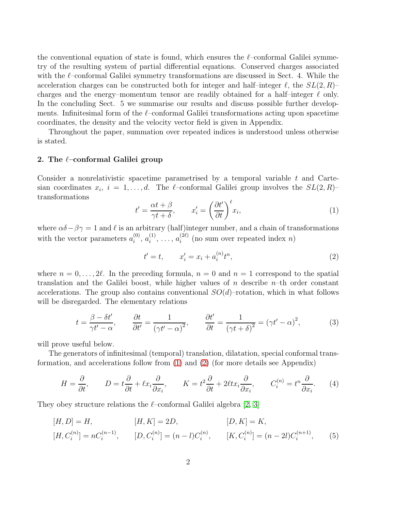the conventional equation of state is found, which ensures the  $\ell$ –conformal Galilei symmetry of the resulting system of partial differential equations. Conserved charges associated with the  $\ell$ –conformal Galilei symmetry transformations are discussed in Sect. 4. While the acceleration charges can be constructed both for integer and half–integer  $\ell$ , the  $SL(2, R)$ – charges and the energy–momentum tensor are readily obtained for a half–integer  $\ell$  only. In the concluding Sect. 5 we summarise our results and discuss possible further developments. Infinitesimal form of the  $\ell$ -conformal Galilei transformations acting upon spacetime coordinates, the density and the velocity vector field is given in Appendix.

Throughout the paper, summation over repeated indices is understood unless otherwise is stated.

# 2. The  $\ell$ -conformal Galilei group

Consider a nonrelativistic spacetime parametrised by a temporal variable t and Cartesian coordinates  $x_i$ ,  $i = 1, \ldots, d$ . The  $\ell$ -conformal Galilei group involves the  $SL(2, R)$ transformations

<span id="page-2-0"></span>
$$
t' = \frac{\alpha t + \beta}{\gamma t + \delta}, \qquad x'_i = \left(\frac{\partial t'}{\partial t}\right)^{\ell} x_i,
$$
\n(1)

where  $\alpha\delta-\beta\gamma=1$  and  $\ell$  is an arbitrary (half)integer number, and a chain of transformations with the vector parameters  $a_i^{(0)}$  $\binom{0}{i}, a_i^{(1)}$  $a_i^{(1)}, \ldots, a_i^{(2\ell)}$  $i^{(2\ell)}$  (no sum over repeated index *n*)

<span id="page-2-2"></span><span id="page-2-1"></span>
$$
t' = t, \qquad x'_i = x_i + a_i^{(n)} t^n,
$$
\n(2)

where  $n = 0, \ldots, 2\ell$ . In the preceding formula,  $n = 0$  and  $n = 1$  correspond to the spatial translation and the Galilei boost, while higher values of  $n$  describe  $n$ –th order constant accelerations. The group also contains conventional  $SO(d)$ –rotation, which in what follows will be disregarded. The elementary relations

$$
t = \frac{\beta - \delta t'}{\gamma t' - \alpha}, \qquad \frac{\partial t}{\partial t'} = \frac{1}{(\gamma t' - \alpha)^2}, \qquad \frac{\partial t'}{\partial t} = \frac{1}{(\gamma t + \delta)^2} = (\gamma t' - \alpha)^2,
$$
 (3)

will prove useful below.

The generators of infinitesimal (temporal) translation, dilatation, special conformal transformation, and accelerations follow from [\(1\)](#page-2-0) and [\(2\)](#page-2-1) (for more details see Appendix)

$$
H = \frac{\partial}{\partial t}, \qquad D = t\frac{\partial}{\partial t} + \ell x_i \frac{\partial}{\partial x_i}, \qquad K = t^2 \frac{\partial}{\partial t} + 2\ell t x_i \frac{\partial}{\partial x_i}, \qquad C_i^{(n)} = t^n \frac{\partial}{\partial x_i}.
$$
 (4)

They obey structure relations the  $\ell$ -conformal Galilei algebra [\[2,](#page-12-1) [3\]](#page-12-2)

$$
[H, D] = H, \t [H, K] = 2D, \t [D, K] = K,
$$
  

$$
[H, C_i^{(n)}] = nC_i^{(n-1)}, \t [D, C_i^{(n)}] = (n - l)C_i^{(n)}, \t [K, C_i^{(n)}] = (n - 2l)C_i^{(n+1)}, \t (5)
$$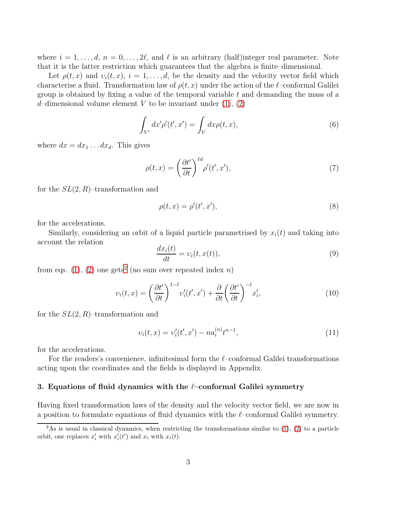where  $i = 1, \ldots, d, n = 0, \ldots, 2l$ , and  $\ell$  is an arbitrary (half)integer real parameter. Note that it is the latter restriction which guarantees that the algebra is finite–dimensional.

Let  $\rho(t, x)$  and  $v_i(t, x)$ ,  $i = 1, \ldots, d$ , be the density and the velocity vector field which characterise a fluid. Transformation law of  $\rho(t, x)$  under the action of the  $\ell$ –conformal Galilei group is obtained by fixing a value of the temporal variable  $t$  and demanding the mass of a d-dimensional volume element V to be invariant under  $(1), (2)$  $(1), (2)$ 

$$
\int_{V'} dx' \rho'(t', x') = \int_{V} dx \rho(t, x), \tag{6}
$$

where  $dx = dx_1 \dots dx_d$ . This gives

<span id="page-3-1"></span>
$$
\rho(t,x) = \left(\frac{\partial t'}{\partial t}\right)^{\ell d} \rho'(t',x'),\tag{7}
$$

for the  $SL(2, R)$ -transformation and

<span id="page-3-2"></span>
$$
\rho(t,x) = \rho'(t',x'),\tag{8}
$$

for the accelerations.

Similarly, considering an orbit of a liquid particle parametrised by  $x_i(t)$  and taking into account the relation

$$
\frac{dx_i(t)}{dt} = v_i(t, x(t)),\tag{9}
$$

from eqs. [\(1\)](#page-2-0), [\(2\)](#page-2-1) one gets<sup>[2](#page-3-0)</sup> (no sum over repeated index *n*)

<span id="page-3-3"></span>
$$
v_i(t,x) = \left(\frac{\partial t'}{\partial t}\right)^{1-\ell} v_i'(t',x') + \frac{\partial}{\partial t} \left(\frac{\partial t'}{\partial t}\right)^{-\ell} x_i',\tag{10}
$$

for the  $SL(2, R)$ -transformation and

<span id="page-3-4"></span>
$$
v_i(t, x) = v_i'(t', x') - n a_i^{(n)} t^{n-1},
$$
\n(11)

for the accelerations.

For the readers's convenience, infinitesimal form the  $\ell$ -conformal Galilei transformations acting upon the coordinates and the fields is displayed in Appendix.

# 3. Equations of fluid dynamics with the  $\ell$ -conformal Galilei symmetry

Having fixed transformation laws of the density and the velocity vector field, we are now in a position to formulate equations of fluid dynamics with the  $\ell$ –conformal Galilei symmetry.

<span id="page-3-0"></span><sup>&</sup>lt;sup>2</sup>As is usual in classical dynamics, when restricting the transformations similar to  $(1)$ ,  $(2)$  to a particle orbit, one replaces  $x'_i$  with  $x'_i(t')$  and  $x_i$  with  $x_i(t)$ .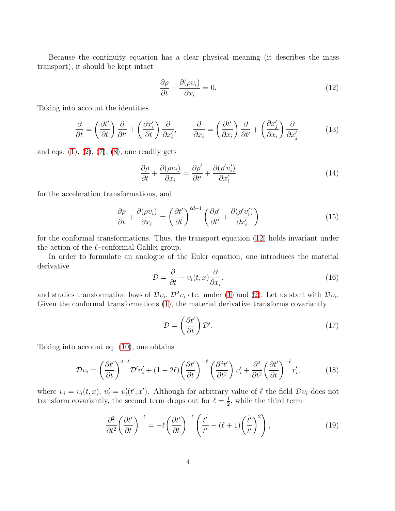Because the continuity equation has a clear physical meaning (it describes the mass transport), it should be kept intact

<span id="page-4-0"></span>
$$
\frac{\partial \rho}{\partial t} + \frac{\partial (\rho v_i)}{\partial x_i} = 0.
$$
\n(12)

Taking into account the identities

$$
\frac{\partial}{\partial t} = \left(\frac{\partial t'}{\partial t}\right) \frac{\partial}{\partial t'} + \left(\frac{\partial x'_i}{\partial t}\right) \frac{\partial}{\partial x'_i}, \qquad \frac{\partial}{\partial x_i} = \left(\frac{\partial t'}{\partial x_i}\right) \frac{\partial}{\partial t'} + \left(\frac{\partial x'_j}{\partial x_i}\right) \frac{\partial}{\partial x'_j},\tag{13}
$$

and eqs.  $(1), (2), (7), (8)$  $(1), (2), (7), (8)$  $(1), (2), (7), (8)$  $(1), (2), (7), (8)$  $(1), (2), (7), (8)$  $(1), (2), (7), (8)$ , one readily gets

$$
\frac{\partial \rho}{\partial t} + \frac{\partial (\rho v_i)}{\partial x_i} = \frac{\partial \rho'}{\partial t'} + \frac{\partial (\rho' v_i')}{\partial x_i'} \tag{14}
$$

for the acceleration transformations, and

$$
\frac{\partial \rho}{\partial t} + \frac{\partial (\rho v_i)}{\partial x_i} = \left(\frac{\partial t'}{\partial t}\right)^{\ell d + 1} \left(\frac{\partial \rho'}{\partial t'} + \frac{\partial (\rho' v_i')}{\partial x_i'}\right)
$$
(15)

for the conformal transformations. Thus, the transport equation [\(12\)](#page-4-0) holds invariant under the action of the  $\ell$ –conformal Galilei group.

In order to formulate an analogue of the Euler equation, one introduces the material derivative

$$
\mathcal{D} = \frac{\partial}{\partial t} + v_i(t, x) \frac{\partial}{\partial x_i},\tag{16}
$$

and studies transformation laws of  $\mathcal{D}v_i$ ,  $\mathcal{D}^2v_i$  etc. under [\(1\)](#page-2-0) and [\(2\)](#page-2-1). Let us start with  $\mathcal{D}v_i$ . Given the conformal transformations  $(1)$ , the material derivative transforms covariantly

$$
\mathcal{D} = \left(\frac{\partial t'}{\partial t}\right) \mathcal{D}'.\tag{17}
$$

Taking into account eq. [\(10\)](#page-3-3), one obtains

$$
\mathcal{D}\upsilon_i = \left(\frac{\partial t'}{\partial t}\right)^{2-\ell} \mathcal{D}'\upsilon_i' + (1-2\ell) \left(\frac{\partial t'}{\partial t}\right)^{-\ell} \left(\frac{\partial^2 t'}{\partial t^2}\right) \upsilon_i' + \frac{\partial^2}{\partial t^2} \left(\frac{\partial t'}{\partial t}\right)^{-\ell} x_i',\tag{18}
$$

where  $v_i = v_i(t, x)$ ,  $v'_i = v'_i$  $i(t', x')$ . Although for arbitrary value of  $\ell$  the field  $\mathcal{D}v_i$  does not transform covariantly, the second term drops out for  $\ell = \frac{1}{2}$  $\frac{1}{2}$ , while the third term

$$
\frac{\partial^2}{\partial t^2} \left( \frac{\partial t'}{\partial t} \right)^{-\ell} = -\ell \left( \frac{\partial t'}{\partial t} \right)^{-\ell} \left( \frac{\dddot{t}'}{\dot{t}'} - (\ell+1) \left( \frac{\ddot{t}'}{\dot{t}'} \right)^2 \right),\tag{19}
$$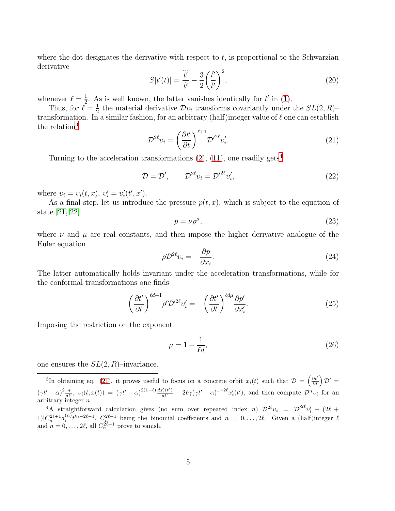where the dot designates the derivative with respect to  $t$ , is proportional to the Schwarzian derivative ...

$$
S[t'(t)] = \frac{\dddot{t}'}{\dot{t}'} - \frac{3}{2} \left(\frac{\ddot{t}'}{\dot{t}'}\right)^2,\tag{20}
$$

whenever  $\ell = \frac{1}{2}$  $\frac{1}{2}$ . As is well known, the latter vanishes identically for t' in [\(1\)](#page-2-0).

Thus, for  $\ell = \frac{1}{2}$  $\frac{1}{2}$  the material derivative  $\mathcal{D}v_i$  transforms covariantly under the  $SL(2,R)$ transformation. In a similar fashion, for an arbitrary (half)integer value of  $\ell$  one can establish the relation<sup>[3](#page-5-0)</sup>

<span id="page-5-2"></span>
$$
\mathcal{D}^{2\ell}v_i = \left(\frac{\partial t'}{\partial t}\right)^{\ell+1} \mathcal{D}'^{2\ell}v'_i.
$$
\n(21)

Turning to the acceleration transformations  $(2)$ ,  $(11)$ , one readily gets<sup>[4](#page-5-1)</sup>

$$
\mathcal{D} = \mathcal{D}', \qquad \mathcal{D}^{2\ell} v_i = \mathcal{D}'^{2\ell} v'_i,\tag{22}
$$

where  $v_i = v_i(t, x)$ ,  $v'_i = v'_i$  $i(t',x')$ .

As a final step, let us introduce the pressure  $p(t, x)$ , which is subject to the equation of state [\[21,](#page-13-5) [22\]](#page-13-6)

$$
p = \nu \rho^{\mu},\tag{23}
$$

where  $\nu$  and  $\mu$  are real constants, and then impose the higher derivative analogue of the Euler equation

$$
\rho \mathcal{D}^{2\ell} \upsilon_i = -\frac{\partial p}{\partial x_i}.\tag{24}
$$

The latter automatically holds invariant under the acceleration transformations, while for the conformal transformations one finds

$$
\left(\frac{\partial t'}{\partial t}\right)^{\ell d+1} \rho' \mathcal{D}'^{2\ell} \nu_i' = -\left(\frac{\partial t'}{\partial t}\right)^{\ell d\mu} \frac{\partial p'}{\partial x_i'}.
$$
\n(25)

Imposing the restriction on the exponent

$$
\mu = 1 + \frac{1}{\ell d},\tag{26}
$$

one ensures the  $SL(2, R)$ –invariance.

<span id="page-5-0"></span><sup>3</sup>In obtaining eq. [\(21\)](#page-5-2), it proves useful to focus on a concrete orbit  $x_i(t)$  such that  $\mathcal{D} = \left(\frac{\partial t'}{\partial t}\right)\mathcal{D}' =$  $(\gamma t' - \alpha)^2 \frac{d}{dt'}, \ v_i(t, x(t)) = (\gamma t' - \alpha)^{2(1-\ell)} \frac{dx_i'(t')}{dt'} - 2\ell\gamma(\gamma t' - \alpha)^{1-2\ell}x_i'(t'),$  and then compute  $\mathcal{D}^n v_i$  for an arbitrary integer n.

<span id="page-5-1"></span><sup>4</sup>A straightforward calculation gives (no sum over repeated index n)  $\mathcal{D}^{2\ell}v_i = \mathcal{D}'^{2\ell}v'_i - (2\ell +$ 1) $C_n^{2\ell+1}a_i^{(n)}t'^{n-2\ell-1}$ ,  $C_n^{2\ell+1}$  being the binomial coefficients and  $n = 0,\ldots, 2\ell$ . Given a (half)integer  $\ell$ and  $n = 0, \ldots, 2\ell$ , all  $C_n^{2\ell+1}$  prove to vanish.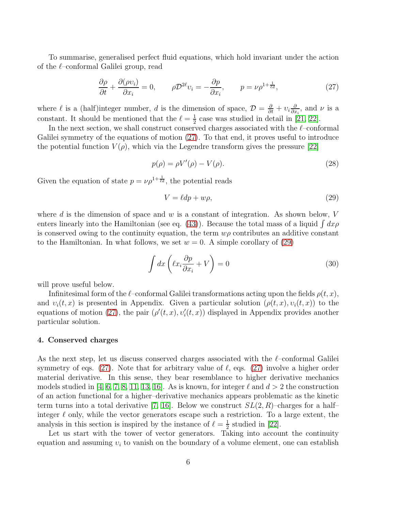To summarise, generalised perfect fluid equations, which hold invariant under the action of the ℓ–conformal Galilei group, read

<span id="page-6-0"></span>
$$
\frac{\partial \rho}{\partial t} + \frac{\partial (\rho v_i)}{\partial x_i} = 0, \qquad \rho \mathcal{D}^{2\ell} v_i = -\frac{\partial p}{\partial x_i}, \qquad p = \nu \rho^{1 + \frac{1}{\ell d}}, \tag{27}
$$

where  $\ell$  is a (half)integer number, d is the dimension of space,  $\mathcal{D} = \frac{\partial}{\partial t} + v_i \frac{\partial}{\partial x}$  $\frac{\partial}{\partial x_i}$ , and  $\nu$  is a constant. It should be mentioned that the  $\ell = \frac{1}{2}$  $\frac{1}{2}$  case was studied in detail in [\[21,](#page-13-5) [22\]](#page-13-6).

In the next section, we shall construct conserved charges associated with the  $\ell$ –conformal Galilei symmetry of the equations of motion [\(27\)](#page-6-0). To that end, it proves useful to introduce the potential function  $V(\rho)$ , which via the Legendre transform gives the pressure [\[22\]](#page-13-6)

<span id="page-6-2"></span>
$$
p(\rho) = \rho V'(\rho) - V(\rho). \tag{28}
$$

Given the equation of state  $p = \nu \rho^{1 + \frac{1}{\ell d}}$ , the potential reads

<span id="page-6-1"></span>
$$
V = \ell dp + w\rho,\tag{29}
$$

where d is the dimension of space and  $w$  is a constant of integration. As shown below,  $V$ enters linearly into the Hamiltonian (see eq. [\(43\)](#page-8-0)). Because the total mass of a liquid  $\int dx \rho$ is conserved owing to the continuity equation, the term  $w\rho$  contributes an additive constant to the Hamiltonian. In what follows, we set  $w = 0$ . A simple corollary of [\(29\)](#page-6-1)

<span id="page-6-3"></span>
$$
\int dx \left( \ell x_i \frac{\partial p}{\partial x_i} + V \right) = 0 \tag{30}
$$

will prove useful below.

Infinitesimal form of the  $\ell$ –conformal Galilei transformations acting upon the fields  $\rho(t, x)$ , and  $v_i(t, x)$  is presented in Appendix. Given a particular solution  $(\rho(t, x), v_i(t, x))$  to the equations of motion [\(27\)](#page-6-0), the pair  $(\rho'(t,x), v'_i(t,x))$  displayed in Appendix provides another particular solution.

#### 4. Conserved charges

As the next step, let us discuss conserved charges associated with the  $\ell$ –conformal Galilei symmetry of eqs. [\(27\)](#page-6-0). Note that for arbitrary value of  $\ell$ , eqs. (27) involve a higher order material derivative. In this sense, they bear resemblance to higher derivative mechanics models studied in [\[4,](#page-12-3) [6,](#page-12-4) [7,](#page-12-5) [8,](#page-12-6) [11,](#page-12-7) [13,](#page-12-9) [16\]](#page-13-1). As is known, for integer  $\ell$  and  $d > 2$  the construction of an action functional for a higher–derivative mechanics appears problematic as the kinetic term turns into a total derivative [\[7,](#page-12-5) [16\]](#page-13-1). Below we construct  $SL(2, R)$ –charges for a half– integer  $\ell$  only, while the vector generators escape such a restriction. To a large extent, the analysis in this section is inspired by the instance of  $\ell = \frac{1}{2}$  $\frac{1}{2}$  studied in [\[22\]](#page-13-6).

Let us start with the tower of vector generators. Taking into account the continuity equation and assuming  $v_i$  to vanish on the boundary of a volume element, one can establish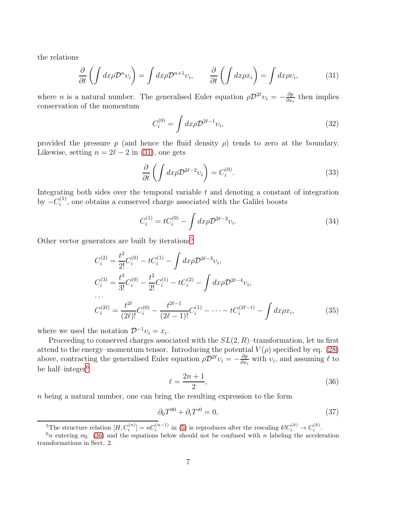the relations

<span id="page-7-0"></span>
$$
\frac{\partial}{\partial t} \left( \int dx \rho \mathcal{D}^n v_i \right) = \int dx \rho \mathcal{D}^{n+1} v_i, \qquad \frac{\partial}{\partial t} \left( \int dx \rho x_i \right) = \int dx \rho v_i,
$$
\n(31)

where *n* is a natural number. The generalised Euler equation  $\rho \mathcal{D}^{2\ell} v_i = -\frac{\partial p}{\partial x_i}$  $\frac{\partial p}{\partial x_i}$  then implies conservation of the momentum

$$
C_i^{(0)} = \int dx \rho \mathcal{D}^{2\ell - 1} v_i,\tag{32}
$$

provided the pressure p (and hence the fluid density  $\rho$ ) tends to zero at the boundary. Likewise, setting  $n = 2\ell - 2$  in [\(31\)](#page-7-0), one gets

$$
\frac{\partial}{\partial t} \left( \int dx \rho \mathcal{D}^{2\ell - 2} \nu_i \right) = C_i^{(0)}.
$$
\n(33)

Integrating both sides over the temporal variable  $t$  and denoting a constant of integration by  $-C_i^{(1)}$  $i^{(1)}$ , one obtains a conserved charge associated with the Galilei boosts

$$
C_i^{(1)} = tC_i^{(0)} - \int dx \rho \mathcal{D}^{2\ell - 2} v_i.
$$
 (34)

Other vector generators are built by iterations<sup>[5](#page-7-1)</sup>

$$
C_i^{(2)} = \frac{t^2}{2!} C_i^{(0)} - t C_i^{(1)} - \int dx \rho \mathcal{D}^{2\ell - 3} v_i,
$$
  
\n
$$
C_i^{(3)} = \frac{t^3}{3!} C_i^{(0)} - \frac{t^2}{2!} C_i^{(1)} - t C_i^{(2)} - \int dx \rho \mathcal{D}^{2\ell - 4} v_i,
$$
  
\n...  
\n
$$
C_i^{(2\ell)} = \frac{t^{2\ell}}{(2\ell)!} C_i^{(0)} - \frac{t^{2\ell - 1}}{(2\ell - 1)!} C_i^{(1)} - \dots - t C_i^{(2\ell - 1)} - \int dx \rho x_i,
$$
\n(35)

where we used the notation  $\mathcal{D}^{-1}v_i = x_i$ .

Proceeding to conserved charges associated with the  $SL(2, R)$ –transformation, let us first attend to the energy–momentum tensor. Introducing the potential  $V(\rho)$  specified by eq. [\(28\)](#page-6-2) above, contracting the generalised Euler equation  $\rho \mathcal{D}^{2\ell} v_i = -\frac{\partial p}{\partial x_i}$  $\frac{\partial p}{\partial x_i}$  with  $v_i$ , and assuming  $\ell$  to be half–integer $^6$  $^6$ 

<span id="page-7-3"></span>
$$
\ell = \frac{2n+1}{2},\tag{36}
$$

n being a natural number, one can bring the resulting expression to the form

<span id="page-7-4"></span>
$$
\partial_0 T^{00} + \partial_i T^{i0} = 0,\tag{37}
$$

<span id="page-7-1"></span><sup>&</sup>lt;sup>5</sup>The structure relation  $[H, C_i^{(n)}] = nC_i^{(n-1)}$  in [\(5\)](#page-2-2) is reproduces after the rescaling  $k!C_i^{(k)} \to C_i^{(k)}$ .

<span id="page-7-2"></span> $6n$  entering eq. [\(36\)](#page-7-3) and the equations below should not be confused with n labeling the acceleration transformations in Sect. 2.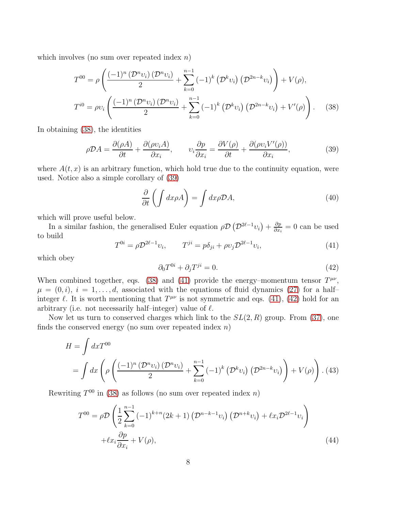which involves (no sum over repeated index  $n$ )

<span id="page-8-1"></span>
$$
T^{00} = \rho \left( \frac{(-1)^n \left( \mathcal{D}^n v_i \right) \left( \mathcal{D}^n v_i \right)}{2} + \sum_{k=0}^{n-1} (-1)^k \left( \mathcal{D}^k v_i \right) \left( \mathcal{D}^{2n-k} v_i \right) \right) + V(\rho),
$$
  

$$
T^{i0} = \rho v_i \left( \frac{(-1)^n \left( \mathcal{D}^n v_i \right) \left( \mathcal{D}^n v_i \right)}{2} + \sum_{k=0}^{n-1} (-1)^k \left( \mathcal{D}^k v_i \right) \left( \mathcal{D}^{2n-k} v_i \right) + V'(\rho) \right). \tag{38}
$$

In obtaining [\(38\)](#page-8-1), the identities

<span id="page-8-2"></span>
$$
\rho \mathcal{D}A = \frac{\partial(\rho A)}{\partial t} + \frac{\partial(\rho v_i A)}{\partial x_i}, \qquad v_i \frac{\partial p}{\partial x_i} = \frac{\partial V(\rho)}{\partial t} + \frac{\partial(\rho v_i V'(\rho))}{\partial x_i}, \tag{39}
$$

where  $A(t, x)$  is an arbitrary function, which hold true due to the continuity equation, were used. Notice also a simple corollary of [\(39\)](#page-8-2)

<span id="page-8-5"></span>
$$
\frac{\partial}{\partial t} \left( \int dx \rho A \right) = \int dx \rho \mathcal{D}A,\tag{40}
$$

which will prove useful below.

In a similar fashion, the generalised Euler equation  $\rho \mathcal{D} \left( \mathcal{D}^{2\ell-1} v_i \right) + \frac{\partial p}{\partial x_i}$  $\frac{\partial p}{\partial x_i} = 0$  can be used to build

<span id="page-8-3"></span>
$$
T^{0i} = \rho \mathcal{D}^{2\ell - 1} v_i, \qquad T^{ji} = p\delta_{ji} + \rho v_j \mathcal{D}^{2\ell - 1} v_i,
$$
\n(41)

which obey

<span id="page-8-4"></span>
$$
\partial_0 T^{0i} + \partial_j T^{ji} = 0. \tag{42}
$$

When combined together, eqs. [\(38\)](#page-8-1) and [\(41\)](#page-8-3) provide the energy-momentum tensor  $T^{\mu\nu}$ ,  $\mu = (0, i), i = 1, \ldots, d$ , associated with the equations of fluid dynamics [\(27\)](#page-6-0) for a halfinteger  $\ell$ . It is worth mentioning that  $T^{\mu\nu}$  is not symmetric and eqs. [\(41\)](#page-8-3), [\(42\)](#page-8-4) hold for an arbitrary (i.e. not necessarily half–integer) value of  $\ell$ .

Now let us turn to conserved charges which link to the  $SL(2, R)$  group. From [\(37\)](#page-7-4), one finds the conserved energy (no sum over repeated index  $n$ )

<span id="page-8-0"></span>
$$
H = \int dx T^{00}
$$
  
= 
$$
\int dx \left( \rho \left( \frac{(-1)^n (\mathcal{D}^n v_i) (\mathcal{D}^n v_i)}{2} + \sum_{k=0}^{n-1} (-1)^k (\mathcal{D}^k v_i) (\mathcal{D}^{2n-k} v_i) \right) + V(\rho) \right).
$$
 (43)

Rewriting  $T^{00}$  in [\(38\)](#page-8-1) as follows (no sum over repeated index n)

$$
T^{00} = \rho \mathcal{D} \left( \frac{1}{2} \sum_{k=0}^{n-1} (-1)^{k+n} (2k+1) \left( \mathcal{D}^{n-k-1} v_i \right) \left( \mathcal{D}^{n+k} v_i \right) + \ell x_i \mathcal{D}^{2\ell-1} v_i \right) + \ell x_i \frac{\partial p}{\partial x_i} + V(\rho),
$$
\n(44)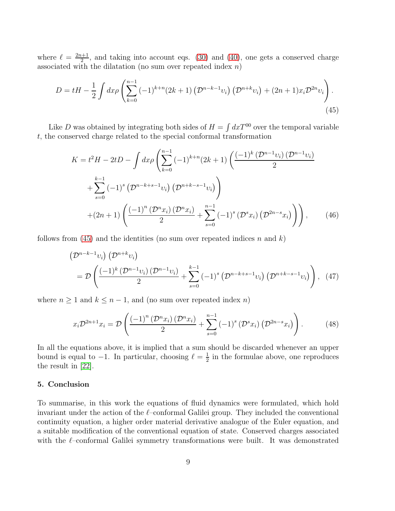where  $\ell = \frac{2n+1}{2}$  $\frac{2^{n+1}}{2}$ , and taking into account eqs. [\(30\)](#page-6-3) and [\(40\)](#page-8-5), one gets a conserved charge associated with the dilatation (no sum over repeated index  $n$ )

<span id="page-9-0"></span>
$$
D = tH - \frac{1}{2} \int dx \rho \left( \sum_{k=0}^{n-1} (-1)^{k+n} (2k+1) \left( \mathcal{D}^{n-k-1} v_i \right) \left( \mathcal{D}^{n+k} v_i \right) + (2n+1) x_i \mathcal{D}^{2n} v_i \right).
$$
\n(45)

Like D was obtained by integrating both sides of  $H = \int dxT^{00}$  over the temporal variable t, the conserved charge related to the special conformal transformation

$$
K = t^2 H - 2tD - \int dx \rho \left( \sum_{k=0}^{n-1} (-1)^{k+n} (2k+1) \left( \frac{(-1)^k (\mathcal{D}^{n-1} v_i) (\mathcal{D}^{n-1} v_i)}{2} + \sum_{s=0}^{k-1} (-1)^s (\mathcal{D}^{n-k+s-1} v_i) (\mathcal{D}^{n+k-s-1} v_i) \right) + (2n+1) \left( \frac{(-1)^n (\mathcal{D}^n x_i) (\mathcal{D}^n x_i)}{2} + \sum_{s=0}^{n-1} (-1)^s (\mathcal{D}^s x_i) (\mathcal{D}^{2n-s} x_i) \right) \right), \tag{46}
$$

follows from [\(45\)](#page-9-0) and the identities (no sum over repeated indices n and k)

$$
\left(\mathcal{D}^{n-k-1}v_i\right)\left(\mathcal{D}^{n+k}v_i\right) = \mathcal{D}\left(\frac{(-1)^k\left(\mathcal{D}^{n-1}v_i\right)\left(\mathcal{D}^{n-1}v_i\right)}{2} + \sum_{s=0}^{k-1}(-1)^s\left(\mathcal{D}^{n-k+s-1}v_i\right)\left(\mathcal{D}^{n+k-s-1}v_i\right)\right), (47)
$$

where  $n \geq 1$  and  $k \leq n-1$ , and (no sum over repeated index n)

$$
x_i \mathcal{D}^{2n+1} x_i = \mathcal{D} \left( \frac{(-1)^n \left( \mathcal{D}^n x_i \right) \left( \mathcal{D}^n x_i \right)}{2} + \sum_{s=0}^{n-1} (-1)^s \left( \mathcal{D}^s x_i \right) \left( \mathcal{D}^{2n-s} x_i \right) \right). \tag{48}
$$

In all the equations above, it is implied that a sum should be discarded whenever an upper bound is equal to  $-1$ . In particular, choosing  $\ell = \frac{1}{2}$  $\frac{1}{2}$  in the formulae above, one reproduces the result in [\[22\]](#page-13-6).

### 5. Conclusion

To summarise, in this work the equations of fluid dynamics were formulated, which hold invariant under the action of the  $\ell$ –conformal Galilei group. They included the conventional continuity equation, a higher order material derivative analogue of the Euler equation, and a suitable modification of the conventional equation of state. Conserved charges associated with the  $\ell$ –conformal Galilei symmetry transformations were built. It was demonstrated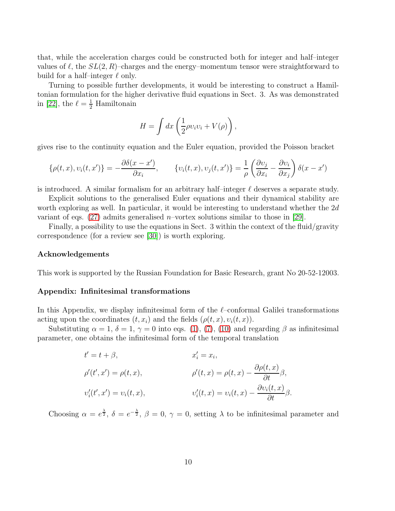that, while the acceleration charges could be constructed both for integer and half–integer values of  $\ell$ , the  $SL(2, R)$ –charges and the energy–momentum tensor were straightforward to build for a half–integer  $\ell$  only.

Turning to possible further developments, it would be interesting to construct a Hamiltonian formulation for the higher derivative fluid equations in Sect. 3. As was demonstrated in [\[22\]](#page-13-6), the  $\ell = \frac{1}{2}$  Hamiltonain

$$
H = \int dx \left( \frac{1}{2} \rho v_i v_i + V(\rho) \right),
$$

gives rise to the continuity equation and the Euler equation, provided the Poisson bracket

$$
\{\rho(t,x), v_i(t,x')\} = -\frac{\partial \delta(x-x')}{\partial x_i}, \qquad \{v_i(t,x), v_j(t,x')\} = \frac{1}{\rho} \left(\frac{\partial v_j}{\partial x_i} - \frac{\partial v_i}{\partial x_j}\right) \delta(x-x')
$$

is introduced. A similar formalism for an arbitrary half–integer  $\ell$  deserves a separate study.

Explicit solutions to the generalised Euler equations and their dynamical stability are worth exploring as well. In particular, it would be interesting to understand whether the 2d variant of eqs.  $(27)$  admits generalised *n*–vortex solutions similar to those in [\[29\]](#page-13-8).

Finally, a possibility to use the equations in Sect. 3 within the context of the fluid/gravity correspondence (for a review see [\[30\]](#page-13-9)) is worth exploring.

#### Acknowledgements

This work is supported by the Russian Foundation for Basic Research, grant No 20-52-12003.

# Appendix: Infinitesimal transformations

In this Appendix, we display infinitesimal form of the  $\ell$ -conformal Galilei transformations acting upon the coordinates  $(t, x_i)$  and the fields  $(\rho(t, x), v_i(t, x))$ .

Substituting  $\alpha = 1, \delta = 1, \gamma = 0$  into eqs. [\(1\)](#page-2-0), [\(7\)](#page-3-1), [\(10\)](#page-3-3) and regarding  $\beta$  as infinitesimal parameter, one obtains the infinitesimal form of the temporal translation

$$
t' = t + \beta,
$$
  
\n
$$
\rho'(t', x') = \rho(t, x),
$$
  
\n
$$
\rho'(t, x) = \rho(t, x) - \frac{\partial \rho(t, x)}{\partial t} \beta,
$$
  
\n
$$
\nu'_i(t', x') = \nu_i(t, x),
$$
  
\n
$$
\nu'_i(t, x) = \nu_i(t, x) - \frac{\partial \nu_i(t, x)}{\partial t} \beta.
$$

Choosing  $\alpha = e^{\frac{\lambda}{2}}$ ,  $\delta = e^{-\frac{\lambda}{2}}$ ,  $\beta = 0$ ,  $\gamma = 0$ , setting  $\lambda$  to be infinitesimal parameter and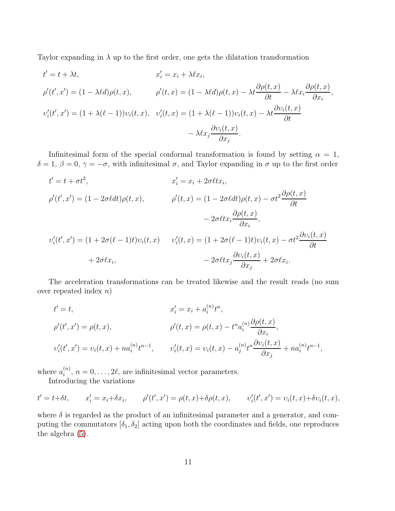Taylor expanding in  $\lambda$  up to the first order, one gets the dilatation transformation

$$
t' = t + \lambda t,
$$
  
\n
$$
x'_{i} = x_{i} + \lambda \ell x_{i},
$$
  
\n
$$
\rho'(t', x') = (1 - \lambda \ell d)\rho(t, x),
$$
  
\n
$$
\rho'(t, x) = (1 - \lambda \ell d)\rho(t, x) - \lambda t \frac{\partial \rho(t, x)}{\partial t} - \lambda \ell x_{i} \frac{\partial \rho(t, x)}{\partial x_{i}},
$$
  
\n
$$
v'_{i}(t', x') = (1 + \lambda(\ell - 1))v_{i}(t, x),
$$
  
\n
$$
v'_{i}(t, x) = (1 + \lambda(\ell - 1))v_{i}(t, x) - \lambda t \frac{\partial v_{i}(t, x)}{\partial t}
$$
  
\n
$$
- \lambda \ell x_{j} \frac{\partial v_{i}(t, x)}{\partial x_{j}}.
$$

Infinitesimal form of the special conformal transformation is found by setting  $\alpha = 1$ ,  $\delta = 1, \beta = 0, \gamma = -\sigma$ , with infinitesimal  $\sigma$ , and Taylor expanding in  $\sigma$  up to the first order

$$
t' = t + \sigma t^2,
$$
  
\n
$$
\rho'(t', x') = (1 - 2\sigma \ell dt)\rho(t, x),
$$
  
\n
$$
\rho'(t, x) = (1 - 2\sigma \ell dt)\rho(t, x) - \sigma t^2 \frac{\partial \rho(t, x)}{\partial t}
$$
  
\n
$$
-2\sigma \ell t x_i \frac{\partial \rho(t, x)}{\partial x_i},
$$
  
\n
$$
v'_i(t', x') = (1 + 2\sigma(\ell - 1)t)v_i(t, x)
$$
  
\n
$$
v'_i(t, x) = (1 + 2\sigma(\ell - 1)t)v_i(t, x) - \sigma t^2 \frac{\partial v_i(t, x)}{\partial t}
$$
  
\n
$$
+2\sigma \ell x_i,
$$
  
\n
$$
-2\sigma \ell t x_j \frac{\partial v_i(t, x)}{\partial x_j} + 2\sigma \ell x_i.
$$

The acceleration transformations can be treated likewise and the result reads (no sum over repeated index  $n$ )

$$
t' = t,
$$
  
\n
$$
\alpha'_{i} = x_{i} + a_{i}^{(n)} t^{n},
$$
  
\n
$$
\rho'(t', x') = \rho(t, x),
$$
  
\n
$$
\rho'(t, x) = \rho(t, x) - t^{n} a_{i}^{(n)} \frac{\partial \rho(t, x)}{\partial x_{i}},
$$
  
\n
$$
v'_{i}(t', x') = v_{i}(t, x) + n a_{i}^{(n)} t^{n-1},
$$
  
\n
$$
v'_{i}(t, x) = v_{i}(t, x) - a_{j}^{(n)} t^{n} \frac{\partial v_{i}(t, x)}{\partial x_{j}} + n a_{i}^{(n)} t^{n-1},
$$

where  $a_i^{(n)}$  $i^{(n)}$ ,  $n = 0, \ldots, 2\ell$ , are infinitesimal vector parameters.

Introducing the variations

$$
t' = t + \delta t
$$
,  $x'_i = x_i + \delta x_i$ ,  $\rho'(t', x') = \rho(t, x) + \delta \rho(t, x)$ ,  $v'_i(t', x') = v_i(t, x) + \delta v_i(t, x)$ ,

where  $\delta$  is regarded as the product of an infinitesimal parameter and a generator, and computing the commutators  $[\delta_1, \delta_2]$  acting upon both the coordinates and fields, one reproduces the algebra [\(5\)](#page-2-2).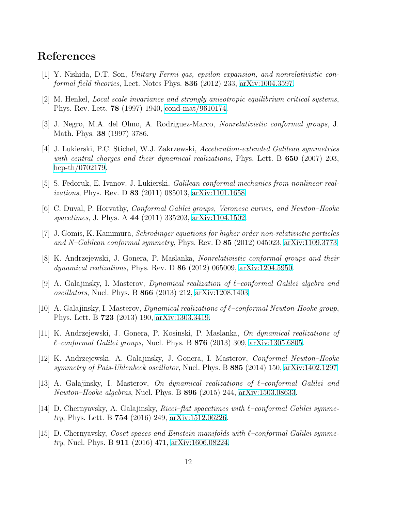# <span id="page-12-0"></span>References

- <span id="page-12-1"></span>[1] Y. Nishida, D.T. Son, Unitary Fermi gas, epsilon expansion, and nonrelativistic conformal field theories, Lect. Notes Phys. 836 (2012) 233, [arXiv:1004.3597.](http://arxiv.org/abs/1004.3597)
- <span id="page-12-2"></span>[2] M. Henkel, Local scale invariance and strongly anisotropic equilibrium critical systems, Phys. Rev. Lett. 78 (1997) 1940, [cond-mat/9610174.](http://arxiv.org/abs/cond-mat/9610174)
- <span id="page-12-3"></span>[3] J. Negro, M.A. del Olmo, A. Rodriguez-Marco, Nonrelativistic conformal groups, J. Math. Phys. 38 (1997) 3786.
- [4] J. Lukierski, P.C. Stichel, W.J. Zakrzewski, Acceleration-extended Galilean symmetries with central charges and their dynamical realizations, Phys. Lett.  $B$  650 (2007) 203, [hep-th/0702179.](http://arxiv.org/abs/hep-th/0702179)
- <span id="page-12-12"></span><span id="page-12-4"></span>[5] S. Fedoruk, E. Ivanov, J. Lukierski, Galilean conformal mechanics from nonlinear realizations, Phys. Rev. D 83 (2011) 085013, [arXiv:1101.1658.](http://arxiv.org/abs/1101.1658)
- <span id="page-12-5"></span>[6] C. Duval, P. Horvathy, Conformal Galilei groups, Veronese curves, and Newton–Hooke spacetimes, J. Phys. A 44 (2011) 335203, [arXiv:1104.1502.](http://arxiv.org/abs/1104.1502)
- <span id="page-12-6"></span>[7] J. Gomis, K. Kamimura, Schrodinger equations for higher order non-relativistic particles and N–Galilean conformal symmetry, Phys. Rev. D 85 (2012) 045023, [arXiv:1109.3773.](http://arxiv.org/abs/1109.3773)
- [8] K. Andrzejewski, J. Gonera, P. Maslanka, Nonrelativistic conformal groups and their dynamical realizations, Phys. Rev. D 86 (2012) 065009, [arXiv:1204.5950.](http://arxiv.org/abs/1204.5950)
- <span id="page-12-10"></span>[9] A. Galajinsky, I. Masterov, *Dynamical realization of*  $\ell$ *-conformal Galilei algebra and* oscillators, Nucl. Phys. B 866 (2013) 212, [arXiv:1208.1403.](http://arxiv.org/abs/1208.1403)
- <span id="page-12-11"></span>[10] A. Galajinsky, I. Masterov, *Dynamical realizations of*  $\ell$ *–conformal Newton-Hooke group*, Phys. Lett. B 723 (2013) 190, [arXiv:1303.3419.](http://arxiv.org/abs/1303.3419)
- <span id="page-12-8"></span><span id="page-12-7"></span>[11] K. Andrzejewski, J. Gonera, P. Kosinski, P. Maslanka, On dynamical realizations of  $\ell$ –conformal Galilei groups, Nucl. Phys. B **876** (2013) 309, [arXiv:1305.6805.](http://arxiv.org/abs/1305.6805)
- [12] K. Andrzejewski, A. Galajinsky, J. Gonera, I. Masterov, Conformal Newton–Hooke symmetry of Pais-Uhlenbeck oscillator, Nucl. Phys. B 885 (2014) 150, [arXiv:1402.1297.](http://arxiv.org/abs/1402.1297)
- <span id="page-12-9"></span>[13] A. Galajinsky, I. Masterov, On dynamical realizations of ℓ–conformal Galilei and Newton–Hooke algebras, Nucl. Phys. B 896 (2015) 244, [arXiv:1503.08633.](http://arxiv.org/abs/1503.08633)
- <span id="page-12-13"></span>[14] D. Chernyavsky, A. Galajinsky, *Ricci–flat spacetimes with*  $\ell$ *–conformal Galilei symme*try, Phys. Lett. B 754 (2016) 249, [arXiv:1512.06226.](http://arxiv.org/abs/1512.06226)
- <span id="page-12-14"></span>[15] D. Chernyavsky, *Coset spaces and Einstein manifolds with*  $\ell$ -conformal Galilei symmetry, Nucl. Phys. B 911 (2016) 471, [arXiv:1606.08224.](http://arxiv.org/abs/1606.08224)